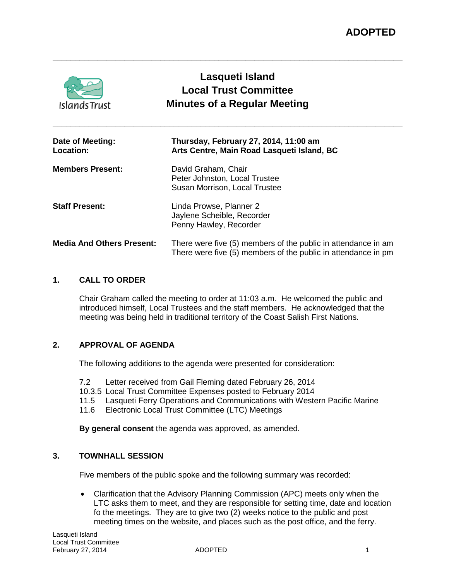| <b>Islands Trust</b>             | Lasqueti Island<br><b>Local Trust Committee</b><br><b>Minutes of a Regular Meeting</b>                                         |
|----------------------------------|--------------------------------------------------------------------------------------------------------------------------------|
| Date of Meeting:<br>Location:    | Thursday, February 27, 2014, 11:00 am<br>Arts Centre, Main Road Lasqueti Island, BC                                            |
| <b>Members Present:</b>          | David Graham, Chair<br>Peter Johnston, Local Trustee<br>Susan Morrison, Local Trustee                                          |
| <b>Staff Present:</b>            | Linda Prowse, Planner 2<br>Jaylene Scheible, Recorder<br>Penny Hawley, Recorder                                                |
| <b>Media And Others Present:</b> | There were five (5) members of the public in attendance in am<br>There were five (5) members of the public in attendance in pm |

**\_\_\_\_\_\_\_\_\_\_\_\_\_\_\_\_\_\_\_\_\_\_\_\_\_\_\_\_\_\_\_\_\_\_\_\_\_\_\_\_\_\_\_\_\_\_\_\_\_\_\_\_\_\_\_\_\_\_\_\_\_\_\_\_\_\_\_\_\_\_\_\_\_\_\_\_\_\_**

# **1. CALL TO ORDER**

Chair Graham called the meeting to order at 11:03 a.m. He welcomed the public and introduced himself, Local Trustees and the staff members. He acknowledged that the meeting was being held in traditional territory of the Coast Salish First Nations.

### **2. APPROVAL OF AGENDA**

The following additions to the agenda were presented for consideration:

- 7.2 Letter received from Gail Fleming dated February 26, 2014
- 10.3.5 Local Trust Committee Expenses posted to February 2014
- 11.5 Lasqueti Ferry Operations and Communications with Western Pacific Marine
- 11.6 Electronic Local Trust Committee (LTC) Meetings

**By general consent** the agenda was approved, as amended.

### **3. TOWNHALL SESSION**

Five members of the public spoke and the following summary was recorded:

• Clarification that the Advisory Planning Commission (APC) meets only when the LTC asks them to meet, and they are responsible for setting time, date and location fo the meetings. They are to give two (2) weeks notice to the public and post meeting times on the website, and places such as the post office, and the ferry.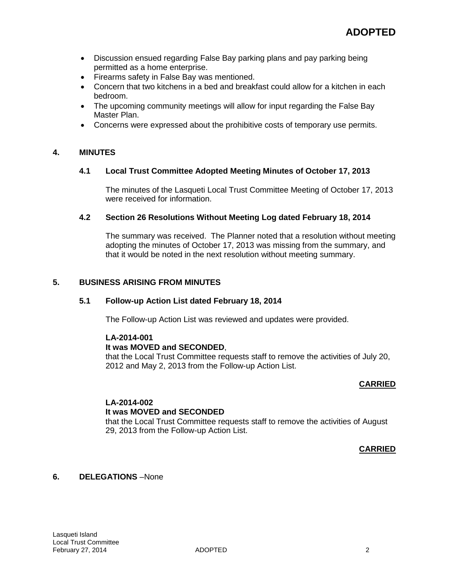- Discussion ensued regarding False Bay parking plans and pay parking being permitted as a home enterprise.
- Firearms safety in False Bay was mentioned.
- Concern that two kitchens in a bed and breakfast could allow for a kitchen in each bedroom.
- The upcoming community meetings will allow for input regarding the False Bay Master Plan.
- Concerns were expressed about the prohibitive costs of temporary use permits.

# **4. MINUTES**

### **4.1 Local Trust Committee Adopted Meeting Minutes of October 17, 2013**

The minutes of the Lasqueti Local Trust Committee Meeting of October 17, 2013 were received for information.

### **4.2 Section 26 Resolutions Without Meeting Log dated February 18, 2014**

The summary was received. The Planner noted that a resolution without meeting adopting the minutes of October 17, 2013 was missing from the summary, and that it would be noted in the next resolution without meeting summary.

### **5. BUSINESS ARISING FROM MINUTES**

### **5.1 Follow-up Action List dated February 18, 2014**

The Follow-up Action List was reviewed and updates were provided.

### **LA-2014-001**

### **It was MOVED and SECONDED**,

that the Local Trust Committee requests staff to remove the activities of July 20, 2012 and May 2, 2013 from the Follow-up Action List.

### **CARRIED**

### **LA-2014-002**

### **It was MOVED and SECONDED**

that the Local Trust Committee requests staff to remove the activities of August 29, 2013 from the Follow-up Action List.

### **CARRIED**

# **6. DELEGATIONS** –None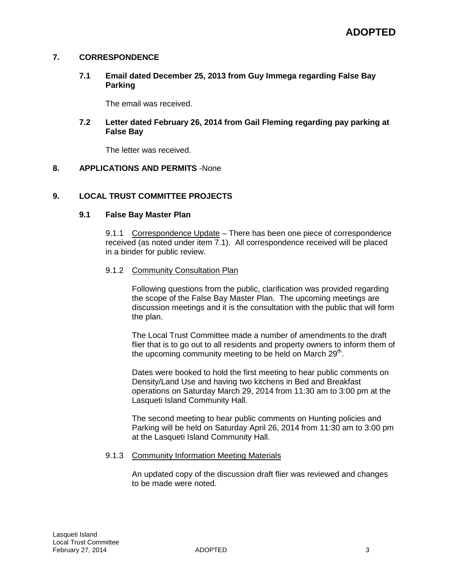### **7. CORRESPONDENCE**

### **7.1 Email dated December 25, 2013 from Guy Immega regarding False Bay Parking**

The email was received.

### **7.2 Letter dated February 26, 2014 from Gail Fleming regarding pay parking at False Bay**

The letter was received.

### **8. APPLICATIONS AND PERMITS** -None

### **9. LOCAL TRUST COMMITTEE PROJECTS**

### **9.1 False Bay Master Plan**

9.1.1 Correspondence Update – There has been one piece of correspondence received (as noted under item 7.1). All correspondence received will be placed in a binder for public review.

### 9.1.2 Community Consultation Plan

Following questions from the public, clarification was provided regarding the scope of the False Bay Master Plan. The upcoming meetings are discussion meetings and it is the consultation with the public that will form the plan.

The Local Trust Committee made a number of amendments to the draft flier that is to go out to all residents and property owners to inform them of the upcoming community meeting to be held on March  $29<sup>th</sup>$ .

Dates were booked to hold the first meeting to hear public comments on Density/Land Use and having two kitchens in Bed and Breakfast operations on Saturday March 29, 2014 from 11:30 am to 3:00 pm at the Lasqueti Island Community Hall.

The second meeting to hear public comments on Hunting policies and Parking will be held on Saturday April 26, 2014 from 11:30 am to 3:00 pm at the Lasqueti Island Community Hall.

### 9.1.3 Community Information Meeting Materials

An updated copy of the discussion draft flier was reviewed and changes to be made were noted.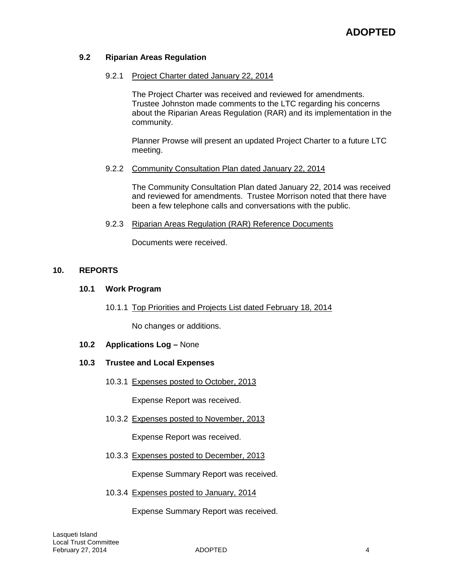# **9.2 Riparian Areas Regulation**

### 9.2.1 Project Charter dated January 22, 2014

The Project Charter was received and reviewed for amendments. Trustee Johnston made comments to the LTC regarding his concerns about the Riparian Areas Regulation (RAR) and its implementation in the community.

Planner Prowse will present an updated Project Charter to a future LTC meeting.

### 9.2.2 Community Consultation Plan dated January 22, 2014

The Community Consultation Plan dated January 22, 2014 was received and reviewed for amendments. Trustee Morrison noted that there have been a few telephone calls and conversations with the public.

### 9.2.3 Riparian Areas Regulation (RAR) Reference Documents

Documents were received.

### **10. REPORTS**

### **10.1 Work Program**

10.1.1 Top Priorities and Projects List dated February 18, 2014

No changes or additions.

**10.2 Applications Log –** None

### **10.3 Trustee and Local Expenses**

10.3.1 Expenses posted to October, 2013

Expense Report was received.

10.3.2 Expenses posted to November, 2013

Expense Report was received.

10.3.3 Expenses posted to December, 2013

Expense Summary Report was received.

10.3.4 Expenses posted to January, 2014

Expense Summary Report was received.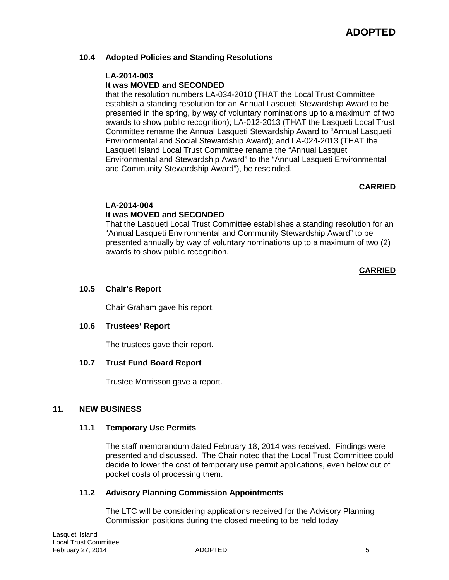# **10.4 Adopted Policies and Standing Resolutions**

# **LA-2014-003**

# **It was MOVED and SECONDED**

that the resolution numbers LA-034-2010 (THAT the Local Trust Committee establish a standing resolution for an Annual Lasqueti Stewardship Award to be presented in the spring, by way of voluntary nominations up to a maximum of two awards to show public recognition); LA-012-2013 (THAT the Lasqueti Local Trust Committee rename the Annual Lasqueti Stewardship Award to "Annual Lasqueti Environmental and Social Stewardship Award); and LA-024-2013 (THAT the Lasqueti Island Local Trust Committee rename the "Annual Lasqueti Environmental and Stewardship Award" to the "Annual Lasqueti Environmental and Community Stewardship Award"), be rescinded.

### **CARRIED**

# **LA-2014-004**

# **It was MOVED and SECONDED**

That the Lasqueti Local Trust Committee establishes a standing resolution for an "Annual Lasqueti Environmental and Community Stewardship Award" to be presented annually by way of voluntary nominations up to a maximum of two (2) awards to show public recognition.

### **CARRIED**

# **10.5 Chair's Report**

Chair Graham gave his report.

### **10.6 Trustees' Report**

The trustees gave their report.

### **10.7 Trust Fund Board Report**

Trustee Morrisson gave a report.

### **11. NEW BUSINESS**

### **11.1 Temporary Use Permits**

The staff memorandum dated February 18, 2014 was received. Findings were presented and discussed. The Chair noted that the Local Trust Committee could decide to lower the cost of temporary use permit applications, even below out of pocket costs of processing them.

### **11.2 Advisory Planning Commission Appointments**

The LTC will be considering applications received for the Advisory Planning Commission positions during the closed meeting to be held today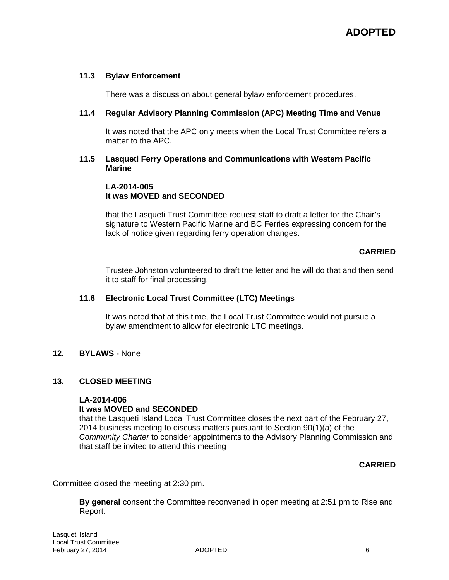### **11.3 Bylaw Enforcement**

There was a discussion about general bylaw enforcement procedures.

### **11.4 Regular Advisory Planning Commission (APC) Meeting Time and Venue**

It was noted that the APC only meets when the Local Trust Committee refers a matter to the APC.

### **11.5 Lasqueti Ferry Operations and Communications with Western Pacific Marine**

### **LA-2014-005 It was MOVED and SECONDED**

that the Lasqueti Trust Committee request staff to draft a letter for the Chair's signature to Western Pacific Marine and BC Ferries expressing concern for the lack of notice given regarding ferry operation changes.

### **CARRIED**

Trustee Johnston volunteered to draft the letter and he will do that and then send it to staff for final processing.

### **11.6 Electronic Local Trust Committee (LTC) Meetings**

It was noted that at this time, the Local Trust Committee would not pursue a bylaw amendment to allow for electronic LTC meetings.

### **12. BYLAWS** - None

### **13. CLOSED MEETING**

### **LA-2014-006**

### **It was MOVED and SECONDED**

that the Lasqueti Island Local Trust Committee closes the next part of the February 27, 2014 business meeting to discuss matters pursuant to Section 90(1)(a) of the *Community Charter* to consider appointments to the Advisory Planning Commission and that staff be invited to attend this meeting

### **CARRIED**

Committee closed the meeting at 2:30 pm.

**By general** consent the Committee reconvened in open meeting at 2:51 pm to Rise and Report.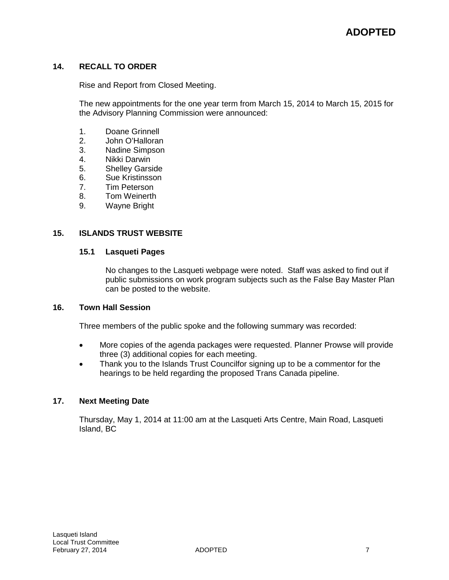# **14. RECALL TO ORDER**

Rise and Report from Closed Meeting.

The new appointments for the one year term from March 15, 2014 to March 15, 2015 for the Advisory Planning Commission were announced:

- 1. Doane Grinnell<br>2. John O'Hallorar
- 2. John O'Halloran<br>3. Nadine Simpson
- Nadine Simpson
- 4. Nikki Darwin
- 5. Shelley Garside
- 6. Sue Kristinsson
- 7. Tim Peterson
- 
- 8. Tom Weinerth<br>9. Wayne Bright Wayne Bright

### **15. ISLANDS TRUST WEBSITE**

### **15.1 Lasqueti Pages**

No changes to the Lasqueti webpage were noted. Staff was asked to find out if public submissions on work program subjects such as the False Bay Master Plan can be posted to the website.

# **16. Town Hall Session**

Three members of the public spoke and the following summary was recorded:

- More copies of the agenda packages were requested. Planner Prowse will provide three (3) additional copies for each meeting.
- Thank you to the Islands Trust Councilfor signing up to be a commentor for the hearings to be held regarding the proposed Trans Canada pipeline.

### **17. Next Meeting Date**

Thursday, May 1, 2014 at 11:00 am at the Lasqueti Arts Centre, Main Road, Lasqueti Island, BC